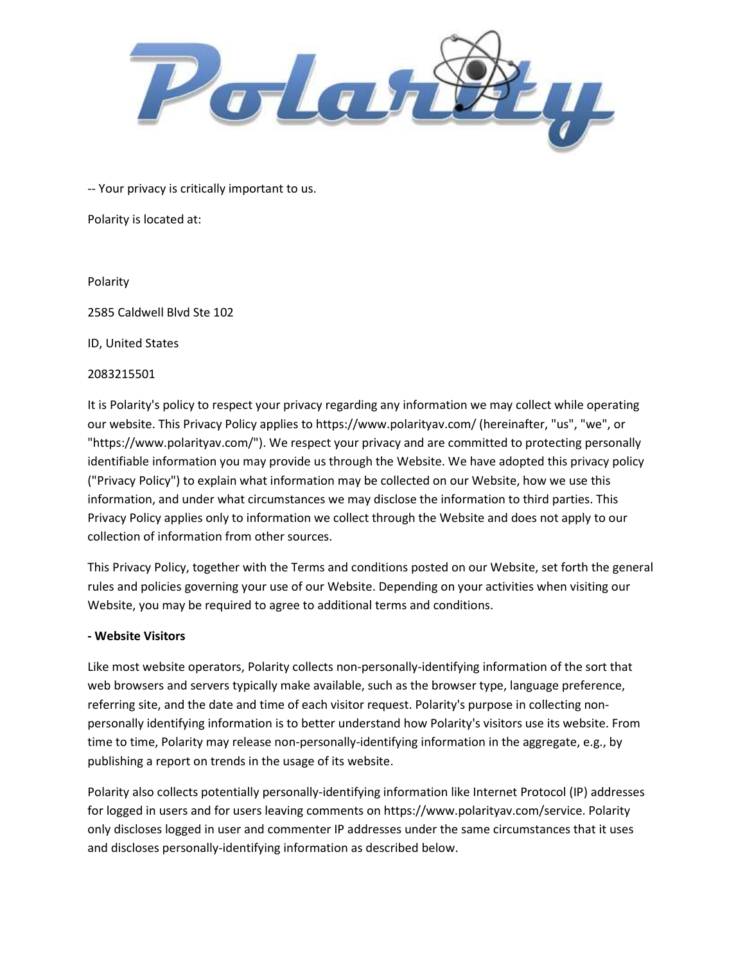

-- Your privacy is critically important to us.

Polarity is located at:

Polarity

2585 Caldwell Blvd Ste 102

ID, United States

#### 2083215501

It is Polarity's policy to respect your privacy regarding any information we may collect while operating our website. This Privacy Policy applies to https://www.polarityav.com/ (hereinafter, "us", "we", or "https://www.polarityav.com/"). We respect your privacy and are committed to protecting personally identifiable information you may provide us through the Website. We have adopted this privacy policy ("Privacy Policy") to explain what information may be collected on our Website, how we use this information, and under what circumstances we may disclose the information to third parties. This Privacy Policy applies only to information we collect through the Website and does not apply to our collection of information from other sources.

This Privacy Policy, together with the Terms and conditions posted on our Website, set forth the general rules and policies governing your use of our Website. Depending on your activities when visiting our Website, you may be required to agree to additional terms and conditions.

# - Website Visitors

Like most website operators, Polarity collects non-personally-identifying information of the sort that web browsers and servers typically make available, such as the browser type, language preference, referring site, and the date and time of each visitor request. Polarity's purpose in collecting nonpersonally identifying information is to better understand how Polarity's visitors use its website. From time to time, Polarity may release non-personally-identifying information in the aggregate, e.g., by publishing a report on trends in the usage of its website.

Polarity also collects potentially personally-identifying information like Internet Protocol (IP) addresses for logged in users and for users leaving comments on https://www.polarityav.com/service. Polarity only discloses logged in user and commenter IP addresses under the same circumstances that it uses and discloses personally-identifying information as described below.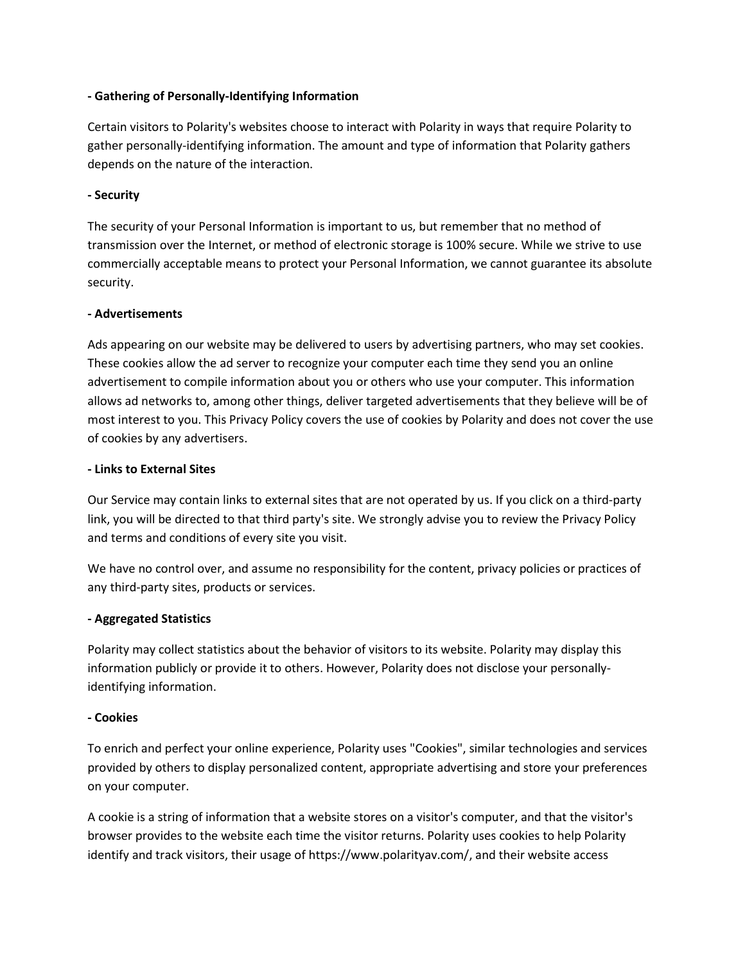# - Gathering of Personally-Identifying Information

Certain visitors to Polarity's websites choose to interact with Polarity in ways that require Polarity to gather personally-identifying information. The amount and type of information that Polarity gathers depends on the nature of the interaction.

#### - Security

The security of your Personal Information is important to us, but remember that no method of transmission over the Internet, or method of electronic storage is 100% secure. While we strive to use commercially acceptable means to protect your Personal Information, we cannot guarantee its absolute security.

#### - Advertisements

Ads appearing on our website may be delivered to users by advertising partners, who may set cookies. These cookies allow the ad server to recognize your computer each time they send you an online advertisement to compile information about you or others who use your computer. This information allows ad networks to, among other things, deliver targeted advertisements that they believe will be of most interest to you. This Privacy Policy covers the use of cookies by Polarity and does not cover the use of cookies by any advertisers.

#### - Links to External Sites

Our Service may contain links to external sites that are not operated by us. If you click on a third-party link, you will be directed to that third party's site. We strongly advise you to review the Privacy Policy and terms and conditions of every site you visit.

We have no control over, and assume no responsibility for the content, privacy policies or practices of any third-party sites, products or services.

# - Aggregated Statistics

Polarity may collect statistics about the behavior of visitors to its website. Polarity may display this information publicly or provide it to others. However, Polarity does not disclose your personallyidentifying information.

# - Cookies

To enrich and perfect your online experience, Polarity uses "Cookies", similar technologies and services provided by others to display personalized content, appropriate advertising and store your preferences on your computer.

A cookie is a string of information that a website stores on a visitor's computer, and that the visitor's browser provides to the website each time the visitor returns. Polarity uses cookies to help Polarity identify and track visitors, their usage of https://www.polarityav.com/, and their website access